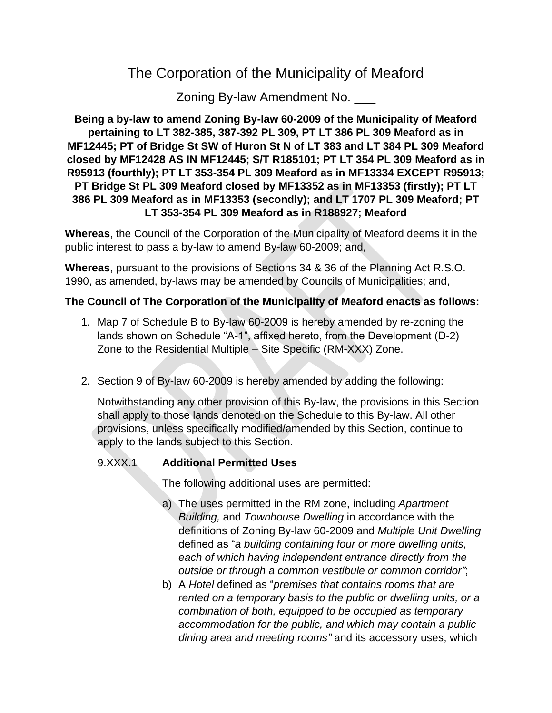# The Corporation of the Municipality of Meaford

Zoning By-law Amendment No. \_\_\_

### **Being a by-law to amend Zoning By-law 60-2009 of the Municipality of Meaford pertaining to LT 382-385, 387-392 PL 309, PT LT 386 PL 309 Meaford as in MF12445; PT of Bridge St SW of Huron St N of LT 383 and LT 384 PL 309 Meaford closed by MF12428 AS IN MF12445; S/T R185101; PT LT 354 PL 309 Meaford as in R95913 (fourthly); PT LT 353-354 PL 309 Meaford as in MF13334 EXCEPT R95913; PT Bridge St PL 309 Meaford closed by MF13352 as in MF13353 (firstly); PT LT 386 PL 309 Meaford as in MF13353 (secondly); and LT 1707 PL 309 Meaford; PT LT 353-354 PL 309 Meaford as in R188927; Meaford**

**Whereas**, the Council of the Corporation of the Municipality of Meaford deems it in the public interest to pass a by-law to amend By-law 60-2009; and,

**Whereas**, pursuant to the provisions of Sections 34 & 36 of the Planning Act R.S.O. 1990, as amended, by-laws may be amended by Councils of Municipalities; and,

## **The Council of The Corporation of the Municipality of Meaford enacts as follows:**

- 1. Map 7 of Schedule B to By-law 60-2009 is hereby amended by re-zoning the lands shown on Schedule "A-1", affixed hereto, from the Development (D-2) Zone to the Residential Multiple – Site Specific (RM-XXX) Zone.
- 2. Section 9 of By-law 60-2009 is hereby amended by adding the following:

Notwithstanding any other provision of this By-law, the provisions in this Section shall apply to those lands denoted on the Schedule to this By-law. All other provisions, unless specifically modified/amended by this Section, continue to apply to the lands subject to this Section.

# 9.XXX.1 **Additional Permitted Uses**

The following additional uses are permitted:

- a) The uses permitted in the RM zone, including *Apartment Building,* and *Townhouse Dwelling* in accordance with the definitions of Zoning By-law 60-2009 and *Multiple Unit Dwelling*  defined as "*a building containing four or more dwelling units, each of which having independent entrance directly from the outside or through a common vestibule or common corridor"*;
- b) A *Hotel* defined as "*premises that contains rooms that are rented on a temporary basis to the public or dwelling units, or a combination of both, equipped to be occupied as temporary accommodation for the public, and which may contain a public dining area and meeting rooms"* and its accessory uses, which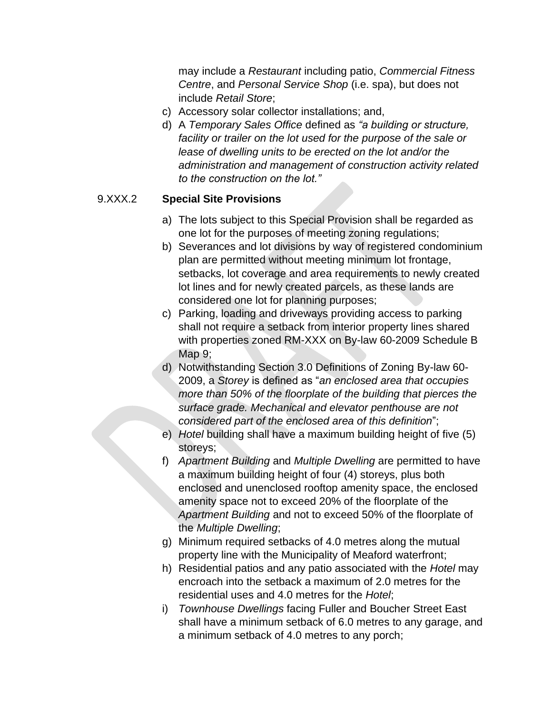may include a *Restaurant* including patio, *Commercial Fitness Centre*, and *Personal Service Shop* (i.e. spa), but does not include *Retail Store*;

- c) Accessory solar collector installations; and,
- d) A *Temporary Sales Office* defined as *"a building or structure, facility or trailer on the lot used for the purpose of the sale or*  lease of dwelling units to be erected on the lot and/or the *administration and management of construction activity related to the construction on the lot."*

## 9.XXX.2 **Special Site Provisions**

- a) The lots subject to this Special Provision shall be regarded as one lot for the purposes of meeting zoning regulations;
- b) Severances and lot divisions by way of registered condominium plan are permitted without meeting minimum lot frontage, setbacks, lot coverage and area requirements to newly created lot lines and for newly created parcels, as these lands are considered one lot for planning purposes;
- c) Parking, loading and driveways providing access to parking shall not require a setback from interior property lines shared with properties zoned RM-XXX on By-law 60-2009 Schedule B Map 9;
- d) Notwithstanding Section 3.0 Definitions of Zoning By-law 60- 2009, a *Storey* is defined as "*an enclosed area that occupies more than 50% of the floorplate of the building that pierces the surface grade. Mechanical and elevator penthouse are not considered part of the enclosed area of this definition*";
- e) *Hotel* building shall have a maximum building height of five (5) storeys;
- f) *Apartment Building* and *Multiple Dwelling* are permitted to have a maximum building height of four (4) storeys, plus both enclosed and unenclosed rooftop amenity space, the enclosed amenity space not to exceed 20% of the floorplate of the *Apartment Building* and not to exceed 50% of the floorplate of the *Multiple Dwelling*;
- g) Minimum required setbacks of 4.0 metres along the mutual property line with the Municipality of Meaford waterfront;
- h) Residential patios and any patio associated with the *Hotel* may encroach into the setback a maximum of 2.0 metres for the residential uses and 4.0 metres for the *Hotel*;
- i) *Townhouse Dwellings* facing Fuller and Boucher Street East shall have a minimum setback of 6.0 metres to any garage, and a minimum setback of 4.0 metres to any porch;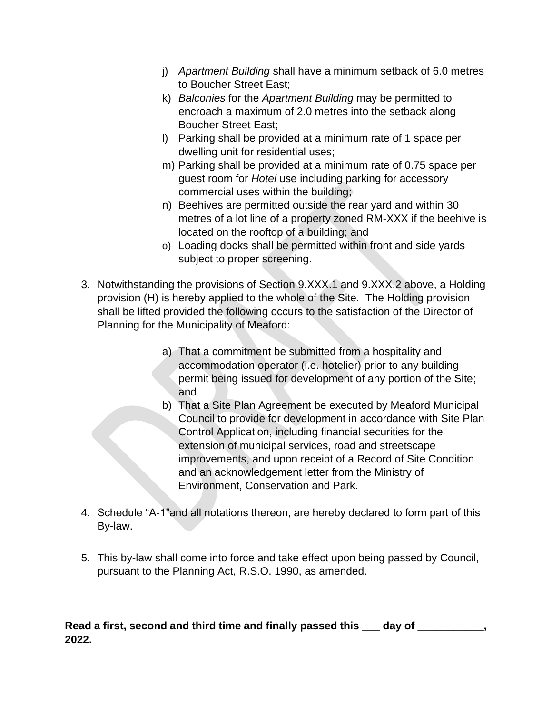- j) *Apartment Building* shall have a minimum setback of 6.0 metres to Boucher Street East;
- k) *Balconies* for the *Apartment Building* may be permitted to encroach a maximum of 2.0 metres into the setback along Boucher Street East;
- l) Parking shall be provided at a minimum rate of 1 space per dwelling unit for residential uses;
- m) Parking shall be provided at a minimum rate of 0.75 space per guest room for *Hotel* use including parking for accessory commercial uses within the building;
- n) Beehives are permitted outside the rear yard and within 30 metres of a lot line of a property zoned RM-XXX if the beehive is located on the rooftop of a building; and
- o) Loading docks shall be permitted within front and side yards subject to proper screening.
- 3. Notwithstanding the provisions of Section 9.XXX.1 and 9.XXX.2 above, a Holding provision (H) is hereby applied to the whole of the Site. The Holding provision shall be lifted provided the following occurs to the satisfaction of the Director of Planning for the Municipality of Meaford:
	- a) That a commitment be submitted from a hospitality and accommodation operator (i.e. hotelier) prior to any building permit being issued for development of any portion of the Site; and
	- b) That a Site Plan Agreement be executed by Meaford Municipal Council to provide for development in accordance with Site Plan Control Application, including financial securities for the extension of municipal services, road and streetscape improvements, and upon receipt of a Record of Site Condition and an acknowledgement letter from the Ministry of Environment, Conservation and Park.
- 4. Schedule "A-1"and all notations thereon, are hereby declared to form part of this By-law.
- 5. This by-law shall come into force and take effect upon being passed by Council, pursuant to the Planning Act, R.S.O. 1990, as amended.

### **Read a first, second and third time and finally passed this \_\_\_ day of \_\_\_\_\_\_\_\_\_\_\_, 2022.**